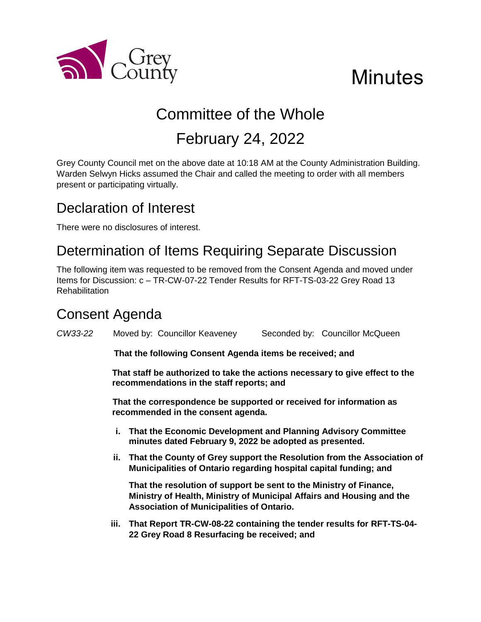

# **Minutes**

## Committee of the Whole February 24, 2022

Grey County Council met on the above date at 10:18 AM at the County Administration Building. Warden Selwyn Hicks assumed the Chair and called the meeting to order with all members present or participating virtually.

## Declaration of Interest

There were no disclosures of interest.

## Determination of Items Requiring Separate Discussion

The following item was requested to be removed from the Consent Agenda and moved under Items for Discussion: c – TR-CW-07-22 Tender Results for RFT-TS-03-22 Grey Road 13 **Rehabilitation** 

## Consent Agenda

*CW33-22* Moved by: Councillor Keaveney Seconded by: Councillor McQueen

**That the following Consent Agenda items be received; and**

**That staff be authorized to take the actions necessary to give effect to the recommendations in the staff reports; and**

**That the correspondence be supported or received for information as recommended in the consent agenda.**

- **i. That the Economic Development and Planning Advisory Committee minutes dated February 9, 2022 be adopted as presented.**
- **ii. That the County of Grey support the Resolution from the Association of Municipalities of Ontario regarding hospital capital funding; and**

**That the resolution of support be sent to the Ministry of Finance, Ministry of Health, Ministry of Municipal Affairs and Housing and the Association of Municipalities of Ontario.** 

**iii. That Report TR-CW-08-22 containing the tender results for RFT-TS-04- 22 Grey Road 8 Resurfacing be received; and**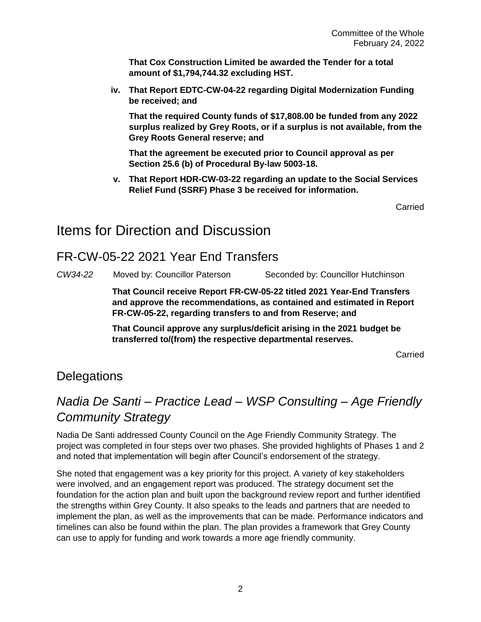**That Cox Construction Limited be awarded the Tender for a total amount of \$1,794,744.32 excluding HST.**

**iv. That Report EDTC-CW-04-22 regarding Digital Modernization Funding be received; and** 

**That the required County funds of \$17,808.00 be funded from any 2022 surplus realized by Grey Roots, or if a surplus is not available, from the Grey Roots General reserve; and**

**That the agreement be executed prior to Council approval as per Section 25.6 (b) of Procedural By-law 5003-18.**

**v. That Report HDR-CW-03-22 regarding an update to the Social Services Relief Fund (SSRF) Phase 3 be received for information.**

Carried

## Items for Direction and Discussion

#### FR-CW-05-22 2021 Year End Transfers

*CW34-22* Moved by: Councillor Paterson Seconded by: Councillor Hutchinson

**That Council receive Report FR-CW-05-22 titled 2021 Year-End Transfers and approve the recommendations, as contained and estimated in Report FR-CW-05-22, regarding transfers to and from Reserve; and**

**That Council approve any surplus/deficit arising in the 2021 budget be transferred to/(from) the respective departmental reserves.**

Carried

#### **Delegations**

## *Nadia De Santi – Practice Lead – WSP Consulting – Age Friendly Community Strategy*

Nadia De Santi addressed County Council on the Age Friendly Community Strategy. The project was completed in four steps over two phases. She provided highlights of Phases 1 and 2 and noted that implementation will begin after Council's endorsement of the strategy.

She noted that engagement was a key priority for this project. A variety of key stakeholders were involved, and an engagement report was produced. The strategy document set the foundation for the action plan and built upon the background review report and further identified the strengths within Grey County. It also speaks to the leads and partners that are needed to implement the plan, as well as the improvements that can be made. Performance indicators and timelines can also be found within the plan. The plan provides a framework that Grey County can use to apply for funding and work towards a more age friendly community.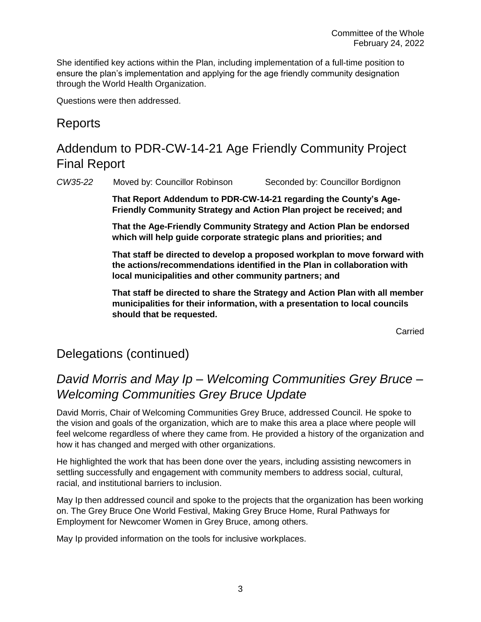She identified key actions within the Plan, including implementation of a full-time position to ensure the plan's implementation and applying for the age friendly community designation through the World Health Organization.

Questions were then addressed.

#### Reports

## Addendum to PDR-CW-14-21 Age Friendly Community Project Final Report

*CW35-22* Moved by: Councillor Robinson Seconded by: Councillor Bordignon

**That Report Addendum to PDR-CW-14-21 regarding the County's Age-Friendly Community Strategy and Action Plan project be received; and**

**That the Age-Friendly Community Strategy and Action Plan be endorsed which will help guide corporate strategic plans and priorities; and**

**That staff be directed to develop a proposed workplan to move forward with the actions/recommendations identified in the Plan in collaboration with local municipalities and other community partners; and**

**That staff be directed to share the Strategy and Action Plan with all member municipalities for their information, with a presentation to local councils should that be requested.** 

Carried

#### Delegations (continued)

#### *David Morris and May Ip – Welcoming Communities Grey Bruce – Welcoming Communities Grey Bruce Update*

David Morris, Chair of Welcoming Communities Grey Bruce, addressed Council. He spoke to the vision and goals of the organization, which are to make this area a place where people will feel welcome regardless of where they came from. He provided a history of the organization and how it has changed and merged with other organizations.

He highlighted the work that has been done over the years, including assisting newcomers in settling successfully and engagement with community members to address social, cultural, racial, and institutional barriers to inclusion.

May Ip then addressed council and spoke to the projects that the organization has been working on. The Grey Bruce One World Festival, Making Grey Bruce Home, Rural Pathways for Employment for Newcomer Women in Grey Bruce, among others.

May Ip provided information on the tools for inclusive workplaces.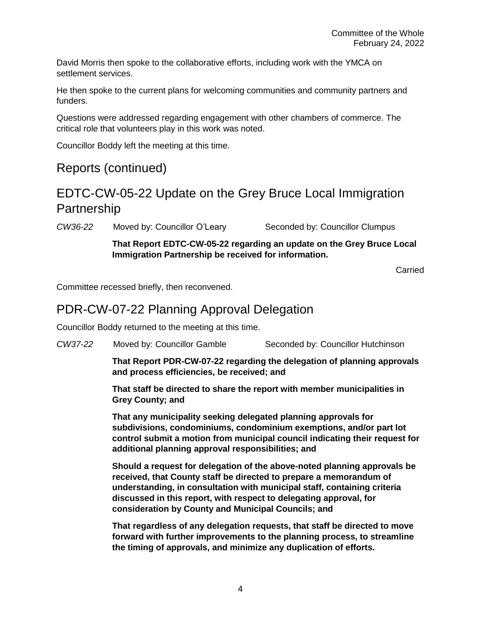David Morris then spoke to the collaborative efforts, including work with the YMCA on settlement services.

He then spoke to the current plans for welcoming communities and community partners and funders.

Questions were addressed regarding engagement with other chambers of commerce. The critical role that volunteers play in this work was noted.

Councillor Boddy left the meeting at this time.

#### Reports (continued)

#### EDTC-CW-05-22 Update on the Grey Bruce Local Immigration Partnership

*CW36-22* Moved by: Councillor O'Leary Seconded by: Councillor Clumpus

**That Report EDTC-CW-05-22 regarding an update on the Grey Bruce Local Immigration Partnership be received for information.**

Carried

Committee recessed briefly, then reconvened.

#### PDR-CW-07-22 Planning Approval Delegation

Councillor Boddy returned to the meeting at this time.

*CW37-22* Moved by: Councillor Gamble Seconded by: Councillor Hutchinson

**That Report PDR-CW-07-22 regarding the delegation of planning approvals and process efficiencies, be received; and**

**That staff be directed to share the report with member municipalities in Grey County; and**

**That any municipality seeking delegated planning approvals for subdivisions, condominiums, condominium exemptions, and/or part lot control submit a motion from municipal council indicating their request for additional planning approval responsibilities; and**

**Should a request for delegation of the above-noted planning approvals be received, that County staff be directed to prepare a memorandum of understanding, in consultation with municipal staff, containing criteria discussed in this report, with respect to delegating approval, for consideration by County and Municipal Councils; and**

**That regardless of any delegation requests, that staff be directed to move forward with further improvements to the planning process, to streamline the timing of approvals, and minimize any duplication of efforts.**